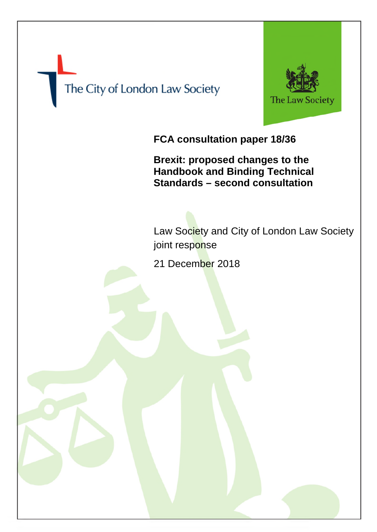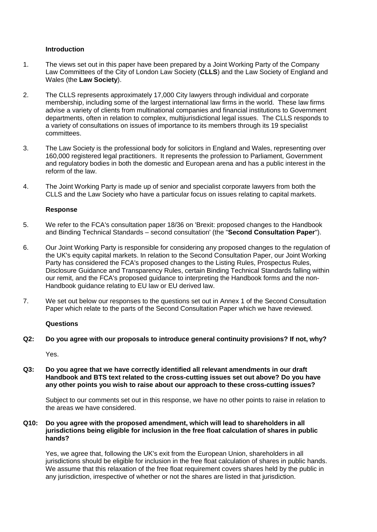# **Introduction**

- 1. The views set out in this paper have been prepared by a Joint Working Party of the Company Law Committees of the City of London Law Society (**CLLS**) and the Law Society of England and Wales (the **Law Society**).
- 2. The CLLS represents approximately 17,000 City lawyers through individual and corporate membership, including some of the largest international law firms in the world. These law firms advise a variety of clients from multinational companies and financial institutions to Government departments, often in relation to complex, multijurisdictional legal issues. The CLLS responds to a variety of consultations on issues of importance to its members through its 19 specialist committees.
- 3. The Law Society is the professional body for solicitors in England and Wales, representing over 160,000 registered legal practitioners. It represents the profession to Parliament, Government and regulatory bodies in both the domestic and European arena and has a public interest in the reform of the law.
- 4. The Joint Working Party is made up of senior and specialist corporate lawyers from both the CLLS and the Law Society who have a particular focus on issues relating to capital markets.

#### **Response**

- 5. We refer to the FCA's consultation paper 18/36 on 'Brexit: proposed changes to the Handbook and Binding Technical Standards – second consultation' (the "**Second Consultation Paper**").
- 6. Our Joint Working Party is responsible for considering any proposed changes to the regulation of the UK's equity capital markets. In relation to the Second Consultation Paper, our Joint Working Party has considered the FCA's proposed changes to the Listing Rules, Prospectus Rules, Disclosure Guidance and Transparency Rules, certain Binding Technical Standards falling within our remit, and the FCA's proposed guidance to interpreting the Handbook forms and the non-Handbook guidance relating to EU law or EU derived law.
- 7. We set out below our responses to the questions set out in Annex 1 of the Second Consultation Paper which relate to the parts of the Second Consultation Paper which we have reviewed.

#### **Questions**

**Q2: Do you agree with our proposals to introduce general continuity provisions? If not, why?** 

Yes.

**Q3: Do you agree that we have correctly identified all relevant amendments in our draft Handbook and BTS text related to the cross-cutting issues set out above? Do you have any other points you wish to raise about our approach to these cross-cutting issues?** 

Subject to our comments set out in this response, we have no other points to raise in relation to the areas we have considered.

**Q10: Do you agree with the proposed amendment, which will lead to shareholders in all jurisdictions being eligible for inclusion in the free float calculation of shares in public hands?** 

Yes, we agree that, following the UK's exit from the European Union, shareholders in all jurisdictions should be eligible for inclusion in the free float calculation of shares in public hands. We assume that this relaxation of the free float requirement covers shares held by the public in any jurisdiction, irrespective of whether or not the shares are listed in that jurisdiction.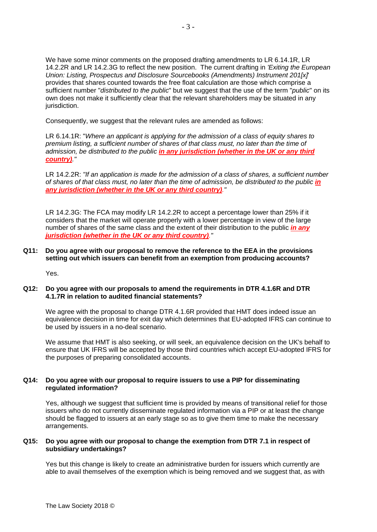We have some minor comments on the proposed drafting amendments to LR 6.14.1R, LR 14.2.2R and LR 14.2.3G to reflect the new position. The current drafting in *'Exiting the European Union: Listing, Prospectus and Disclosure Sourcebooks (Amendments) Instrument 201[x]*' provides that shares counted towards the free float calculation are those which comprise a sufficient number "*distributed to the public*" but we suggest that the use of the term "*public*" on its own does not make it sufficiently clear that the relevant shareholders may be situated in any jurisdiction.

Consequently, we suggest that the relevant rules are amended as follows:

LR 6.14.1R: "*Where an applicant is applying for the admission of a class of equity shares to premium listing, a sufficient number of shares of that class must, no later than the time of admission, be distributed to the public in any jurisdiction (whether in the UK or any third country)."* 

LR 14.2.2R: *"If an application is made for the admission of a class of shares, a sufficient number of shares of that class must, no later than the time of admission, be distributed to the public in any jurisdiction (whether in the UK or any third country)."*

LR 14.2.3G: The FCA may modify LR 14.2.2R to accept a percentage lower than 25% if it considers that the market will operate properly with a lower percentage in view of the large number of shares of the same class and the extent of their distribution to the public *in any jurisdiction (whether in the UK or any third country)."* 

#### **Q11: Do you agree with our proposal to remove the reference to the EEA in the provisions setting out which issuers can benefit from an exemption from producing accounts?**

Yes.

# **Q12: Do you agree with our proposals to amend the requirements in DTR 4.1.6R and DTR 4.1.7R in relation to audited financial statements?**

We agree with the proposal to change DTR 4.1.6R provided that HMT does indeed issue an equivalence decision in time for exit day which determines that EU-adopted IFRS can continue to be used by issuers in a no-deal scenario.

We assume that HMT is also seeking, or will seek, an equivalence decision on the UK's behalf to ensure that UK IFRS will be accepted by those third countries which accept EU-adopted IFRS for the purposes of preparing consolidated accounts.

# **Q14: Do you agree with our proposal to require issuers to use a PIP for disseminating regulated information?**

Yes, although we suggest that sufficient time is provided by means of transitional relief for those issuers who do not currently disseminate regulated information via a PIP or at least the change should be flagged to issuers at an early stage so as to give them time to make the necessary arrangements.

# **Q15: Do you agree with our proposal to change the exemption from DTR 7.1 in respect of subsidiary undertakings?**

Yes but this change is likely to create an administrative burden for issuers which currently are able to avail themselves of the exemption which is being removed and we suggest that, as with